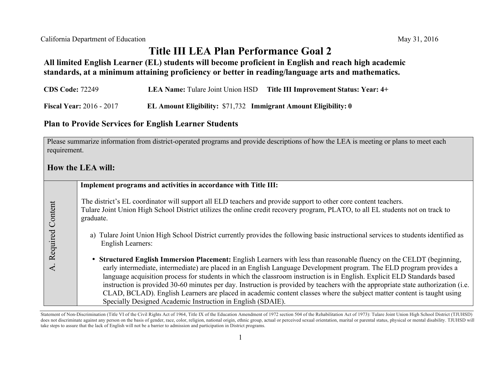# **Title III LEA Plan Performance Goal 2**

### **All limited English Learner (EL) students will become proficient in English and reach high academic standards, at a minimum attaining proficiency or better in reading/language arts and mathematics.**

| <b>CDS Code: 72249</b>          |                                                                        | <b>LEA Name:</b> Tulare Joint Union HSD Title III Improvement Status: Year: 4+ |
|---------------------------------|------------------------------------------------------------------------|--------------------------------------------------------------------------------|
| <b>Fiscal Year: 2016 - 2017</b> | <b>EL Amount Eligibility: \$71,732 Immigrant Amount Eligibility: 0</b> |                                                                                |

#### **Plan to Provide Services for English Learner Students**

Please summarize information from district-operated programs and provide descriptions of how the LEA is meeting or plans to meet each requirement.

### **How the LEA will:**

|                     | Implement programs and activities in accordance with Title III:                                                                                                                                                                                                                                                                                                                                                                                                                                                                                                                                                                                                                                        |
|---------------------|--------------------------------------------------------------------------------------------------------------------------------------------------------------------------------------------------------------------------------------------------------------------------------------------------------------------------------------------------------------------------------------------------------------------------------------------------------------------------------------------------------------------------------------------------------------------------------------------------------------------------------------------------------------------------------------------------------|
| Content<br>Required | The district's EL coordinator will support all ELD teachers and provide support to other core content teachers.<br>Tulare Joint Union High School District utilizes the online credit recovery program, PLATO, to all EL students not on track to<br>graduate.                                                                                                                                                                                                                                                                                                                                                                                                                                         |
|                     | a) Tulare Joint Union High School District currently provides the following basic instructional services to students identified as<br><b>English Learners:</b>                                                                                                                                                                                                                                                                                                                                                                                                                                                                                                                                         |
|                     | • Structured English Immersion Placement: English Learners with less than reasonable fluency on the CELDT (beginning,<br>early intermediate, intermediate) are placed in an English Language Development program. The ELD program provides a<br>language acquisition process for students in which the classroom instruction is in English. Explicit ELD Standards based<br>instruction is provided 30-60 minutes per day. Instruction is provided by teachers with the appropriate state authorization (i.e.<br>CLAD, BCLAD). English Learners are placed in academic content classes where the subject matter content is taught using<br>Specially Designed Academic Instruction in English (SDAIE). |

Statement of Non-Discrimination (Title VI of the Civil Rights Act of 1964, Title IX of the Education Amendment of 1972 section 504 of the Rehabilitation Act of 1973): Tulare Joint Union High School District (TJUHSD) does not discriminate against any person on the basis of gender, race, color, religion, national origin, ethnic group, actual or perceived sexual orientation, marital or parental status, physical or mental disability. TJUH take steps to assure that the lack of English will not be a barrier to admission and participation in District programs.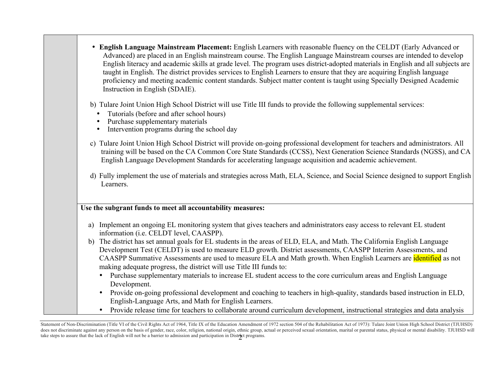| • English Language Mainstream Placement: English Learners with reasonable fluency on the CELDT (Early Advanced or<br>Advanced) are placed in an English mainstream course. The English Language Mainstream courses are intended to develop<br>English literacy and academic skills at grade level. The program uses district-adopted materials in English and all subjects are<br>taught in English. The district provides services to English Learners to ensure that they are acquiring English language<br>proficiency and meeting academic content standards. Subject matter content is taught using Specially Designed Academic<br>Instruction in English (SDAIE). |
|-------------------------------------------------------------------------------------------------------------------------------------------------------------------------------------------------------------------------------------------------------------------------------------------------------------------------------------------------------------------------------------------------------------------------------------------------------------------------------------------------------------------------------------------------------------------------------------------------------------------------------------------------------------------------|
| b) Tulare Joint Union High School District will use Title III funds to provide the following supplemental services:<br>Tutorials (before and after school hours)<br>Purchase supplementary materials<br>Intervention programs during the school day<br>$\bullet$                                                                                                                                                                                                                                                                                                                                                                                                        |
| c) Tulare Joint Union High School District will provide on-going professional development for teachers and administrators. All<br>training will be based on the CA Common Core State Standards (CCSS), Next Generation Science Standards (NGSS), and CA<br>English Language Development Standards for accelerating language acquisition and academic achievement.                                                                                                                                                                                                                                                                                                       |
| d) Fully implement the use of materials and strategies across Math, ELA, Science, and Social Science designed to support English<br>Learners.                                                                                                                                                                                                                                                                                                                                                                                                                                                                                                                           |
| Use the subgrant funds to meet all accountability measures:                                                                                                                                                                                                                                                                                                                                                                                                                                                                                                                                                                                                             |
| Implement an ongoing EL monitoring system that gives teachers and administrators easy access to relevant EL student<br>a)<br>information (i.e. CELDT level, CAASPP).                                                                                                                                                                                                                                                                                                                                                                                                                                                                                                    |
| The district has set annual goals for EL students in the areas of ELD, ELA, and Math. The California English Language<br>b)<br>Development Test (CELDT) is used to measure ELD growth. District assessments, CAASPP Interim Assessments, and<br>CAASPP Summative Assessments are used to measure ELA and Math growth. When English Learners are identified as not<br>making adequate progress, the district will use Title III funds to:                                                                                                                                                                                                                                |
| Purchase supplementary materials to increase EL student access to the core curriculum areas and English Language<br>Development.                                                                                                                                                                                                                                                                                                                                                                                                                                                                                                                                        |
| Provide on-going professional development and coaching to teachers in high-quality, standards based instruction in ELD,<br>English-Language Arts, and Math for English Learners.                                                                                                                                                                                                                                                                                                                                                                                                                                                                                        |
| Provide release time for teachers to collaborate around curriculum development, instructional strategies and data analysis<br>$\bullet$                                                                                                                                                                                                                                                                                                                                                                                                                                                                                                                                 |

**<sup>2</sup>** Statement of Non-Discrimination (Title VI of the Civil Rights Act of 1964, Title IX of the Education Amendment of 1972 section 504 of the Rehabilitation Act of 1973): Tulare Joint Union High School District (TJUHSD) does not discriminate against any person on the basis of gender, race, color, religion, national origin, ethnic group, actual or perceived sexual orientation, marital or parental status, physical or mental disability. TJUH take steps to assure that the lack of English will not be a barrier to admission and participation in District programs.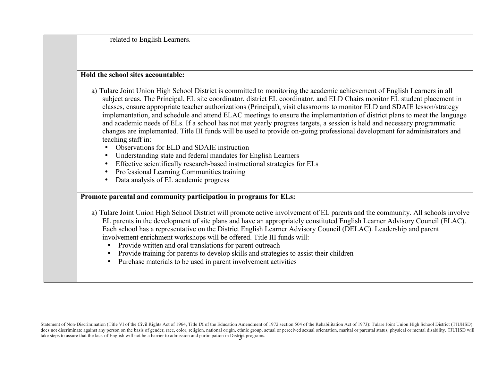related to English Learners.

#### **Hold the school sites accountable:**

- a) Tulare Joint Union High School District is committed to monitoring the academic achievement of English Learners in all subject areas. The Principal, EL site coordinator, district EL coordinator, and ELD Chairs monitor EL student placement in classes, ensure appropriate teacher authorizations (Principal), visit classrooms to monitor ELD and SDAIE lesson/strategy implementation, and schedule and attend ELAC meetings to ensure the implementation of district plans to meet the language and academic needs of ELs. If a school has not met yearly progress targets, a session is held and necessary programmatic changes are implemented. Title III funds will be used to provide on-going professional development for administrators and teaching staff in:
	- Observations for ELD and SDAIE instruction
	- Understanding state and federal mandates for English Learners
	- Effective scientifically research-based instructional strategies for ELs
	- Professional Learning Communities training
	- Data analysis of EL academic progress

## **Promote parental and community participation in programs for ELs:**

- a) Tulare Joint Union High School District will promote active involvement of EL parents and the community. All schools involve EL parents in the development of site plans and have an appropriately constituted English Learner Advisory Council (ELAC). Each school has a representative on the District English Learner Advisory Council (DELAC). Leadership and parent involvement enrichment workshops will be offered. Title III funds will:
	- Provide written and oral translations for parent outreach
	- Provide training for parents to develop skills and strategies to assist their children
	- Purchase materials to be used in parent involvement activities

take steps to assure that the lack of English will not be a barrier to admission and participation in Distr**i**ct programs. Statement of Non-Discrimination (Title VI of the Civil Rights Act of 1964, Title IX of the Education Amendment of 1972 section 504 of the Rehabilitation Act of 1973): Tulare Joint Union High School District (TJUHSD) does not discriminate against any person on the basis of gender, race, color, religion, national origin, ethnic group, actual or perceived sexual orientation, marital or parental status, physical or mental disability. TJUH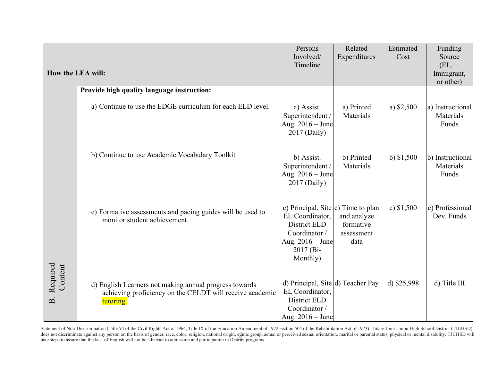|                                        | How the LEA will:                                                                                                               | Persons<br>Involved/<br>Timeline                                                                                                       | Related<br>Expenditures                        | Estimated<br>Cost | Funding<br>Source<br>(EL,<br>Immigrant, |
|----------------------------------------|---------------------------------------------------------------------------------------------------------------------------------|----------------------------------------------------------------------------------------------------------------------------------------|------------------------------------------------|-------------------|-----------------------------------------|
|                                        |                                                                                                                                 |                                                                                                                                        |                                                |                   | or other)                               |
|                                        | Provide high quality language instruction:                                                                                      |                                                                                                                                        |                                                |                   |                                         |
|                                        | a) Continue to use the EDGE curriculum for each ELD level.                                                                      | a) Assist.<br>Superintendent /<br>Aug. 2016 – June<br>2017 (Daily)                                                                     | a) Printed<br>Materials                        | a) $$2,500$       | a) Instructional<br>Materials<br>Funds  |
|                                        | b) Continue to use Academic Vocabulary Toolkit                                                                                  | b) Assist.<br>Superintendent /<br>Aug. 2016 – June<br>2017 (Daily)                                                                     | b) Printed<br>Materials                        | b) $$1,500$       | b) Instructional<br>Materials<br>Funds  |
|                                        | c) Formative assessments and pacing guides will be used to<br>monitor student achievement.                                      | c) Principal, Site $ c $ Time to plan<br>EL Coordinator,<br>District ELD<br>Coordinator /<br>Aug. 2016 – June<br>2017 (Bi-<br>Monthly) | and analyze<br>formative<br>assessment<br>data | c) $$1,500$       | c) Professional<br>Dev. Funds           |
| Required<br>Content<br>$\overline{B}.$ | d) English Learners not making annual progress towards<br>achieving proficiency on the CELDT will receive academic<br>tutoring. | d) Principal, Site d) Teacher Pay<br>EL Coordinator,<br>District ELD<br>Coordinator /<br>Aug. $2016 -$ June                            |                                                | d) \$25,998       | d) Title III                            |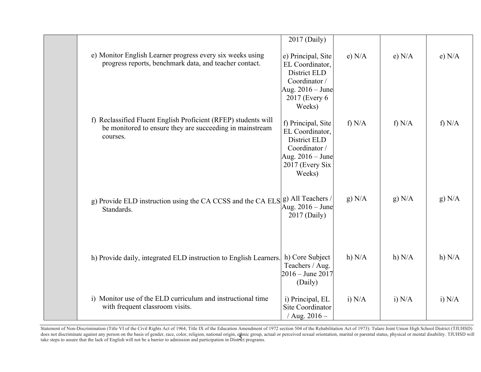|                                                                                                                                        | 2017 (Daily)                                                                                                              |          |          |          |
|----------------------------------------------------------------------------------------------------------------------------------------|---------------------------------------------------------------------------------------------------------------------------|----------|----------|----------|
| e) Monitor English Learner progress every six weeks using<br>progress reports, benchmark data, and teacher contact.                    | e) Principal, Site<br>EL Coordinator,<br>District ELD<br>Coordinator /<br>Aug. 2016 – June<br>2017 (Every 6)<br>Weeks)    | e) N/A   | e) N/A   | e) N/A   |
| f) Reclassified Fluent English Proficient (RFEP) students will<br>be monitored to ensure they are succeeding in mainstream<br>courses. | f) Principal, Site<br>EL Coordinator,<br>District ELD<br>Coordinator /<br>Aug. $2016 -$ June<br>2017 (Every Six<br>Weeks) | f) $N/A$ | f) $N/A$ | f) $N/A$ |
| g) Provide ELD instruction using the CA CCSS and the CA ELS $ g\rangle$ All Teachers /<br>Standards.                                   | Aug. $2016 -$ June<br>2017 (Daily)                                                                                        | g) N/A   | g) N/A   | g) N/A   |
| h) Provide daily, integrated ELD instruction to English Learners.                                                                      | h) Core Subject<br>Teachers / Aug.<br>$2016 -$ June 2017<br>(Daily)                                                       | h) $N/A$ | h) N/A   | h) N/A   |
| i) Monitor use of the ELD curriculum and instructional time<br>with frequent classroom visits.                                         | i) Principal, EL<br>Site Coordinator<br>/ Aug. $2016 -$                                                                   | i) $N/A$ | i) N/A   | i) N/A   |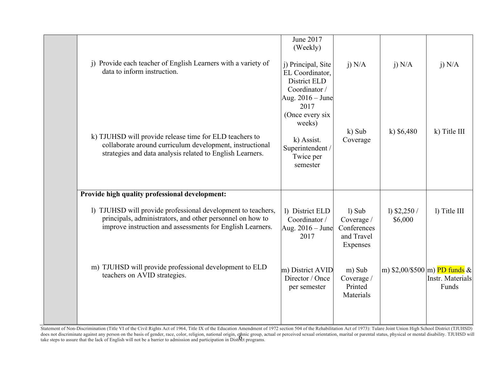| j) Provide each teacher of English Learners with a variety of<br>data to inform instruction.                                                                                           | June 2017<br>(Weekly)<br>j) Principal, Site<br>EL Coordinator,<br>District ELD                                                    | $i)$ N/A                                                        | $i)$ N/A                | $i)$ N/A                                                       |
|----------------------------------------------------------------------------------------------------------------------------------------------------------------------------------------|-----------------------------------------------------------------------------------------------------------------------------------|-----------------------------------------------------------------|-------------------------|----------------------------------------------------------------|
| k) TJUHSD will provide release time for ELD teachers to<br>collaborate around curriculum development, instructional<br>strategies and data analysis related to English Learners.       | Coordinator /<br>Aug. 2016 – June<br>2017<br>(Once every six<br>weeks)<br>k) Assist.<br>Superintendent /<br>Twice per<br>semester | $k)$ Sub<br>Coverage                                            | k) $$6,480$             | k) Title III                                                   |
| Provide high quality professional development:                                                                                                                                         |                                                                                                                                   |                                                                 |                         |                                                                |
| 1) TJUHSD will provide professional development to teachers,<br>principals, administrators, and other personnel on how to<br>improve instruction and assessments for English Learners. | 1) District ELD<br>Coordinator /<br>Aug. $2016 -$ June<br>2017                                                                    | $1)$ Sub<br>Coverage /<br>Conferences<br>and Travel<br>Expenses | 1) $$2,250/$<br>\$6,000 | l) Title III                                                   |
| m) TJUHSD will provide professional development to ELD<br>teachers on AVID strategies.                                                                                                 | m) District AVID<br>Director / Once<br>per semester                                                                               | m) Sub<br>Coverage /<br>Printed<br>Materials                    |                         | m) $$2,00/$500 \,  m)$ PD funds &<br>Instr. Materials<br>Funds |
|                                                                                                                                                                                        |                                                                                                                                   |                                                                 |                         |                                                                |

6 Statement of Non-Discrimination (Title VI of the Civil Rights Act of 1964, Title IX of the Education Amendment of 1972 section 504 of the Rehabilitation Act of 1973): Tulare Joint Union High School District (TJUHSD) does not discriminate against any person on the basis of gender, race, color, religion, national origin, ethnic group, actual or perceived sexual orientation, marital or parental status, physical or mental disability. TJUH take steps to assure that the lack of English will not be a barrier to admission and participation in District programs.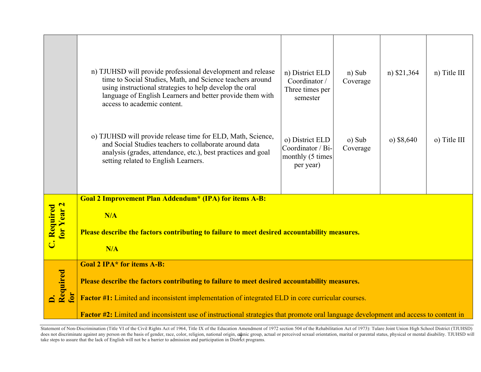|                                  | n) TJUHSD will provide professional development and release<br>time to Social Studies, Math, and Science teachers around<br>using instructional strategies to help develop the oral<br>language of English Learners and better provide them with<br>access to academic content. | n) District ELD<br>Coordinator /<br>Three times per<br>semester       | n) Sub<br>Coverage | n) \$21,364  | n) Title III |  |
|----------------------------------|---------------------------------------------------------------------------------------------------------------------------------------------------------------------------------------------------------------------------------------------------------------------------------|-----------------------------------------------------------------------|--------------------|--------------|--------------|--|
|                                  | o) TJUHSD will provide release time for ELD, Math, Science,<br>and Social Studies teachers to collaborate around data<br>analysis (grades, attendance, etc.), best practices and goal<br>setting related to English Learners.                                                   | o) District ELD<br>Coordinator / Bi-<br>monthly (5 times<br>per year) | o) Sub<br>Coverage | $o)$ \$8,640 | o) Title III |  |
|                                  | Goal 2 Improvement Plan Addendum* (IPA) for items A-B:                                                                                                                                                                                                                          |                                                                       |                    |              |              |  |
| <b>C. Required</b><br>for Year 2 | N/A<br>Please describe the factors contributing to failure to meet desired accountability measures.<br>N/A                                                                                                                                                                      |                                                                       |                    |              |              |  |
|                                  | <b>Goal 2 IPA* for items A-B:</b>                                                                                                                                                                                                                                               |                                                                       |                    |              |              |  |
|                                  | Please describe the factors contributing to failure to meet desired accountability measures.                                                                                                                                                                                    |                                                                       |                    |              |              |  |
| D.<br>Required<br>$\mathbf{E}$   | <b>Factor #1:</b> Limited and inconsistent implementation of integrated ELD in core curricular courses.                                                                                                                                                                         |                                                                       |                    |              |              |  |
|                                  | Factor #2: Limited and inconsistent use of instructional strategies that promote oral language development and access to content in                                                                                                                                             |                                                                       |                    |              |              |  |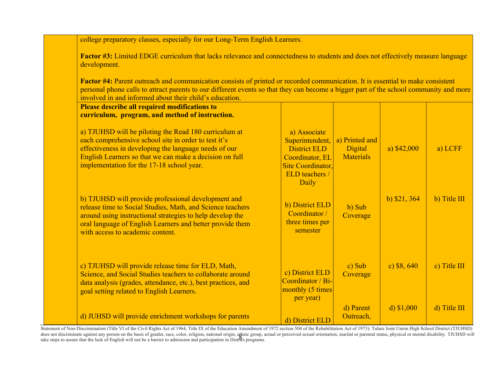college preparatory classes, especially for our Long-Term English Learners.

**Factor #3:** Limited EDGE curriculum that lacks relevance and connectedness to students and does not effectively measure language development.

**Factor #4:** Parent outreach and communication consists of printed or recorded communication. It is essential to make consistent personal phone calls to attract parents to our different events so that they can become a bigger part of the school community and more involved in and informed about their child's education.

| <b>Please describe all required modifications to</b><br>curriculum, program, and method of instruction.                                                                                                                                                                         |                                                                                                                                  |                                               |               |              |
|---------------------------------------------------------------------------------------------------------------------------------------------------------------------------------------------------------------------------------------------------------------------------------|----------------------------------------------------------------------------------------------------------------------------------|-----------------------------------------------|---------------|--------------|
| a) TJUHSD will be piloting the Read 180 curriculum at<br>each comprehensive school site in order to test it's<br>effectiveness in developing the language needs of our<br>English Learners so that we can make a decision on full<br>implementation for the 17-18 school year.  | a) Associate<br>Superintendent,<br><b>District ELD</b><br>Coordinator, EL<br><b>Site Coordinator,</b><br>ELD teachers /<br>Daily | a) Printed and<br>Digital<br><b>Materials</b> | a) $$42,000$  | a) LCFF      |
| b) TJUHSD will provide professional development and<br>release time to Social Studies, Math, and Science teachers<br>around using instructional strategies to help develop the<br>oral language of English Learners and better provide them<br>with access to academic content. | b) District ELD<br>Coordinator /<br>three times per<br>semester                                                                  | b) Sub<br>Coverage                            | b) $$21, 364$ | b) Title III |
| c) TJUHSD will provide release time for ELD, Math,<br>Science, and Social Studies teachers to collaborate around<br>data analysis (grades, attendance, etc.), best practices, and<br>goal setting related to English Learners.                                                  | c) District ELD<br>Coordinator / Bi-<br>monthly (5 times<br>per year)                                                            | c) Sub<br>Coverage                            | c) $$8,640$   | c) Title III |
| d) JUHSD will provide enrichment workshops for parents                                                                                                                                                                                                                          | d) District ELD                                                                                                                  | d) Parent<br>Outreach,                        | d) $$1,000$   | d) Title III |

aoes not aiscriminate against any person on the basis or genaer, race, color, religion, national origin, eginic group, a<br>take steps to assure that the lack of English will not be a barrier to admission and participation in Statement of Non-Discrimination (Title VI of the Civil Rights Act of 1964, Title IX of the Education Amendment of 1972 section 504 of the Rehabilitation Act of 1973): Tulare Joint Union High School District (TJUHSD) does not discriminate against any person on the basis of gender, race, color, religion, national origin, ethnic group, actual or perceived sexual orientation, marital or parental status, physical or mental disability. TJUH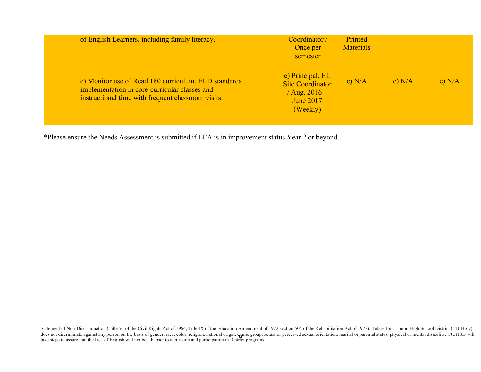| of English Learners, including family literacy.                                                                                                             | Coordinator /<br>Once per<br>semester                                                                  | Printed<br><b>Materials</b> |        |        |
|-------------------------------------------------------------------------------------------------------------------------------------------------------------|--------------------------------------------------------------------------------------------------------|-----------------------------|--------|--------|
| e) Monitor use of Read 180 curriculum, ELD standards<br>implementation in core-curricular classes and<br>instructional time with frequent classroom visits. | $\epsilon$ ) Principal, EL<br><b>Site Coordinator</b><br>Aug. $2016 -$<br><b>June 2017</b><br>(Weekly) | e) N/A                      | e) N/A | e) N/A |

\*Please ensure the Needs Assessment is submitted if LEA is in improvement status Year 2 or beyond.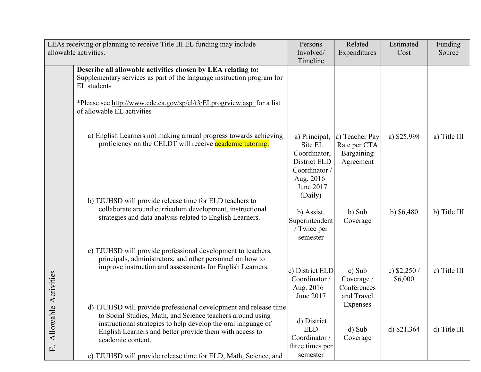|                                      | LEAs receiving or planning to receive Title III EL funding may include                                                                                                                                                                                                                                                                             | Persons                                                                                          | Related                                                   | Estimated               | Funding      |
|--------------------------------------|----------------------------------------------------------------------------------------------------------------------------------------------------------------------------------------------------------------------------------------------------------------------------------------------------------------------------------------------------|--------------------------------------------------------------------------------------------------|-----------------------------------------------------------|-------------------------|--------------|
|                                      | allowable activities.                                                                                                                                                                                                                                                                                                                              | Involved/                                                                                        | Expenditures                                              | Cost                    | Source       |
|                                      |                                                                                                                                                                                                                                                                                                                                                    | Timeline                                                                                         |                                                           |                         |              |
|                                      | Describe all allowable activities chosen by LEA relating to:<br>Supplementary services as part of the language instruction program for<br>EL students                                                                                                                                                                                              |                                                                                                  |                                                           |                         |              |
|                                      | *Please see http://www.cde.ca.gov/sp/el/t3/ELprogrview.asp_for a list<br>of allowable EL activities                                                                                                                                                                                                                                                |                                                                                                  |                                                           |                         |              |
|                                      | a) English Learners not making annual progress towards achieving<br>proficiency on the CELDT will receive academic tutoring.                                                                                                                                                                                                                       | a) Principal,<br>Site EL<br>Coordinator,<br>District ELD<br>Coordinator /                        | a) Teacher Pay<br>Rate per CTA<br>Bargaining<br>Agreement | a) \$25,998             | a) Title III |
|                                      | b) TJUHSD will provide release time for ELD teachers to<br>collaborate around curriculum development, instructional<br>strategies and data analysis related to English Learners.                                                                                                                                                                   | Aug. $2016 -$<br>June 2017<br>(Daily)<br>b) Assist.<br>Superintendent<br>/ Twice per<br>semester | b) Sub<br>Coverage                                        | b) $$6,480$             | b) Title III |
|                                      | c) TJUHSD will provide professional development to teachers,<br>principals, administrators, and other personnel on how to<br>improve instruction and assessments for English Learners.                                                                                                                                                             | c) District ELD<br>Coordinator /<br>Aug. $2016 -$<br>June 2017                                   | c) Sub<br>Coverage /<br>Conferences<br>and Travel         | c) $$2,250/$<br>\$6,000 | c) Title III |
| Allowable Activities<br>$\mathbf{E}$ | d) TJUHSD will provide professional development and release time<br>to Social Studies, Math, and Science teachers around using<br>instructional strategies to help develop the oral language of<br>English Learners and better provide them with access to<br>academic content.<br>e) TJUHSD will provide release time for ELD, Math, Science, and | d) District<br><b>ELD</b><br>Coordinator /<br>three times per<br>semester                        | Expenses<br>d) Sub<br>Coverage                            | d) $$21,364$            | d) Title III |